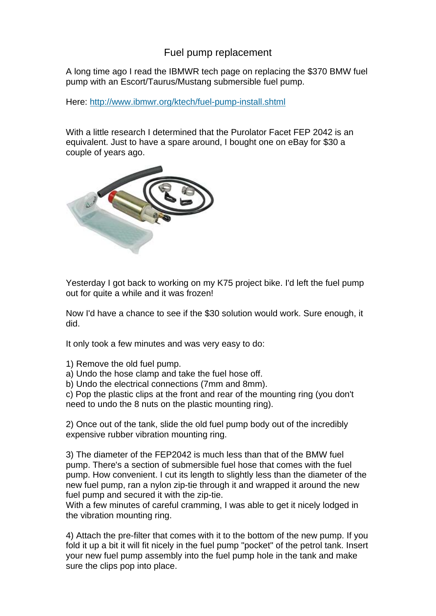# Fuel pump replacement

A long time ago I read the IBMWR tech page on replacing the \$370 BMW fuel pump with an Escort/Taurus/Mustang submersible fuel pump.

Here: <http://www.ibmwr.org/ktech/fuel-pump-install.shtml>

With a little research I determined that the Purolator Facet FEP 2042 is an equivalent. Just to have a spare around, I bought one on eBay for \$30 a couple of years ago.



Yesterday I got back to working on my K75 project bike. I'd left the fuel pump out for quite a while and it was frozen!

Now I'd have a chance to see if the \$30 solution would work. Sure enough, it did.

It only took a few minutes and was very easy to do:

1) Remove the old fuel pump.

a) Undo the hose clamp and take the fuel hose off.

b) Undo the electrical connections (7mm and 8mm).

c) Pop the plastic clips at the front and rear of the mounting ring (you don't need to undo the 8 nuts on the plastic mounting ring).

2) Once out of the tank, slide the old fuel pump body out of the incredibly expensive rubber vibration mounting ring.

3) The diameter of the FEP2042 is much less than that of the BMW fuel pump. There's a section of submersible fuel hose that comes with the fuel pump. How convenient. I cut its length to slightly less than the diameter of the new fuel pump, ran a nylon zip-tie through it and wrapped it around the new fuel pump and secured it with the zip-tie.

With a few minutes of careful cramming, I was able to get it nicely lodged in the vibration mounting ring.

4) Attach the pre-filter that comes with it to the bottom of the new pump. If you fold it up a bit it will fit nicely in the fuel pump "pocket" of the petrol tank. Insert your new fuel pump assembly into the fuel pump hole in the tank and make sure the clips pop into place.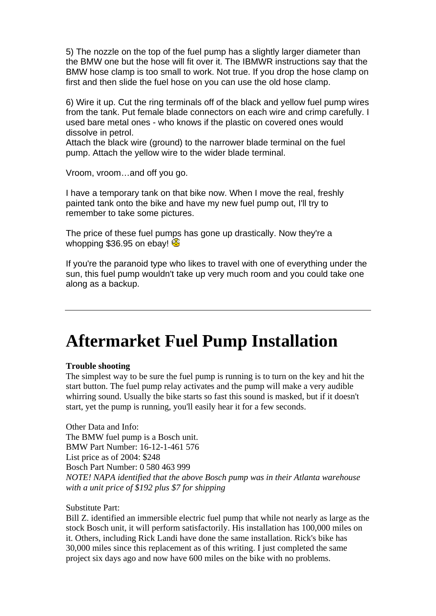5) The nozzle on the top of the fuel pump has a slightly larger diameter than the BMW one but the hose will fit over it. The IBMWR instructions say that the BMW hose clamp is too small to work. Not true. If you drop the hose clamp on first and then slide the fuel hose on you can use the old hose clamp.

6) Wire it up. Cut the ring terminals off of the black and yellow fuel pump wires from the tank. Put female blade connectors on each wire and crimp carefully. I used bare metal ones - who knows if the plastic on covered ones would dissolve in petrol.

Attach the black wire (ground) to the narrower blade terminal on the fuel pump. Attach the yellow wire to the wider blade terminal.

Vroom, vroom…and off you go.

I have a temporary tank on that bike now. When I move the real, freshly painted tank onto the bike and have my new fuel pump out, I'll try to remember to take some pictures.

The price of these fuel pumps has gone up drastically. Now they're a whopping \$36.95 on ebay!

If you're the paranoid type who likes to travel with one of everything under the sun, this fuel pump wouldn't take up very much room and you could take one along as a backup.

# **Aftermarket Fuel Pump Installation**

#### **Trouble shooting**

The simplest way to be sure the fuel pump is running is to turn on the key and hit the start button. The fuel pump relay activates and the pump will make a very audible whirring sound. Usually the bike starts so fast this sound is masked, but if it doesn't start, yet the pump is running, you'll easily hear it for a few seconds.

Other Data and Info: The BMW fuel pump is a Bosch unit. BMW Part Number: 16-12-1-461 576 List price as of 2004: \$248 Bosch Part Number: 0 580 463 999 *NOTE! NAPA identified that the above Bosch pump was in their Atlanta warehouse with a unit price of \$192 plus \$7 for shipping*

#### Substitute Part:

Bill Z. identified an immersible electric fuel pump that while not nearly as large as the stock Bosch unit, it will perform satisfactorily. His installation has 100,000 miles on it. Others, including Rick Landi have done the same installation. Rick's bike has 30,000 miles since this replacement as of this writing. I just completed the same project six days ago and now have 600 miles on the bike with no problems.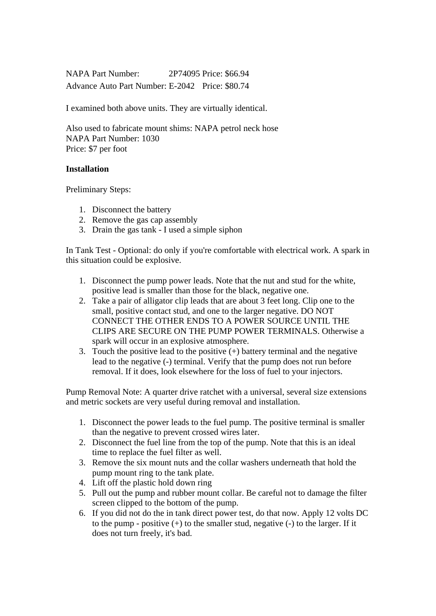NAPA Part Number: 2P74095 Price: \$66.94 Advance Auto Part Number: E-2042 Price: \$80.74

I examined both above units. They are virtually identical.

Also used to fabricate mount shims: NAPA petrol neck hose NAPA Part Number: 1030 Price: \$7 per foot

### **Installation**

Preliminary Steps:

- 1. Disconnect the battery
- 2. Remove the gas cap assembly
- 3. Drain the gas tank I used a simple siphon

In Tank Test - Optional: do only if you're comfortable with electrical work. A spark in this situation could be explosive.

- 1. Disconnect the pump power leads. Note that the nut and stud for the white, positive lead is smaller than those for the black, negative one.
- 2. Take a pair of alligator clip leads that are about 3 feet long. Clip one to the small, positive contact stud, and one to the larger negative. DO NOT CONNECT THE OTHER ENDS TO A POWER SOURCE UNTIL THE CLIPS ARE SECURE ON THE PUMP POWER TERMINALS. Otherwise a spark will occur in an explosive atmosphere.
- 3. Touch the positive lead to the positive  $(+)$  battery terminal and the negative lead to the negative (-) terminal. Verify that the pump does not run before removal. If it does, look elsewhere for the loss of fuel to your injectors.

Pump Removal Note: A quarter drive ratchet with a universal, several size extensions and metric sockets are very useful during removal and installation.

- 1. Disconnect the power leads to the fuel pump. The positive terminal is smaller than the negative to prevent crossed wires later.
- 2. Disconnect the fuel line from the top of the pump. Note that this is an ideal time to replace the fuel filter as well.
- 3. Remove the six mount nuts and the collar washers underneath that hold the pump mount ring to the tank plate.
- 4. Lift off the plastic hold down ring
- 5. Pull out the pump and rubber mount collar. Be careful not to damage the filter screen clipped to the bottom of the pump.
- 6. If you did not do the in tank direct power test, do that now. Apply 12 volts DC to the pump - positive  $(+)$  to the smaller stud, negative  $(-)$  to the larger. If it does not turn freely, it's bad.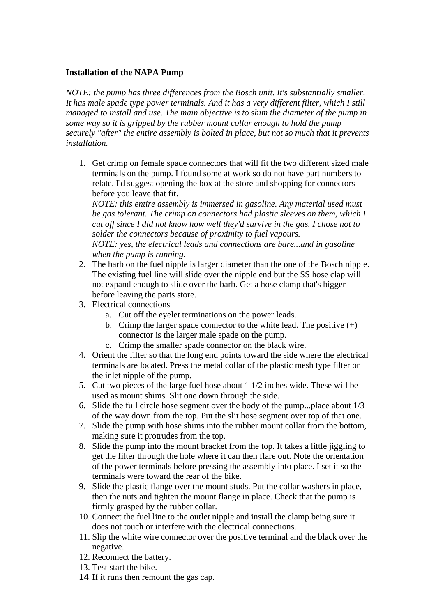## **Installation of the NAPA Pump**

*NOTE: the pump has three differences from the Bosch unit. It's substantially smaller. It has male spade type power terminals. And it has a very different filter, which I still managed to install and use. The main objective is to shim the diameter of the pump in some way so it is gripped by the rubber mount collar enough to hold the pump securely "after" the entire assembly is bolted in place, but not so much that it prevents installation.*

1. Get crimp on female spade connectors that will fit the two different sized male terminals on the pump. I found some at work so do not have part numbers to relate. I'd suggest opening the box at the store and shopping for connectors before you leave that fit.

*NOTE: this entire assembly is immersed in gasoline. Any material used must be gas tolerant. The crimp on connectors had plastic sleeves on them, which I cut off since I did not know how well they'd survive in the gas. I chose not to solder the connectors because of proximity to fuel vapours.*

*NOTE: yes, the electrical leads and connections are bare...and in gasoline when the pump is running.*

- 2. The barb on the fuel nipple is larger diameter than the one of the Bosch nipple. The existing fuel line will slide over the nipple end but the SS hose clap will not expand enough to slide over the barb. Get a hose clamp that's bigger before leaving the parts store.
- 3. Electrical connections
	- a. Cut off the eyelet terminations on the power leads.
	- b. Crimp the larger spade connector to the white lead. The positive  $(+)$ connector is the larger male spade on the pump.
	- c. Crimp the smaller spade connector on the black wire.
- 4. Orient the filter so that the long end points toward the side where the electrical terminals are located. Press the metal collar of the plastic mesh type filter on the inlet nipple of the pump.
- 5. Cut two pieces of the large fuel hose about 1 1/2 inches wide. These will be used as mount shims. Slit one down through the side.
- 6. Slide the full circle hose segment over the body of the pump...place about 1/3 of the way down from the top. Put the slit hose segment over top of that one.
- 7. Slide the pump with hose shims into the rubber mount collar from the bottom, making sure it protrudes from the top.
- 8. Slide the pump into the mount bracket from the top. It takes a little jiggling to get the filter through the hole where it can then flare out. Note the orientation of the power terminals before pressing the assembly into place. I set it so the terminals were toward the rear of the bike.
- 9. Slide the plastic flange over the mount studs. Put the collar washers in place, then the nuts and tighten the mount flange in place. Check that the pump is firmly grasped by the rubber collar.
- 10. Connect the fuel line to the outlet nipple and install the clamp being sure it does not touch or interfere with the electrical connections.
- 11. Slip the white wire connector over the positive terminal and the black over the negative.
- 12. Reconnect the battery.
- 13. Test start the bike.
- 14. If it runs then remount the gas cap.